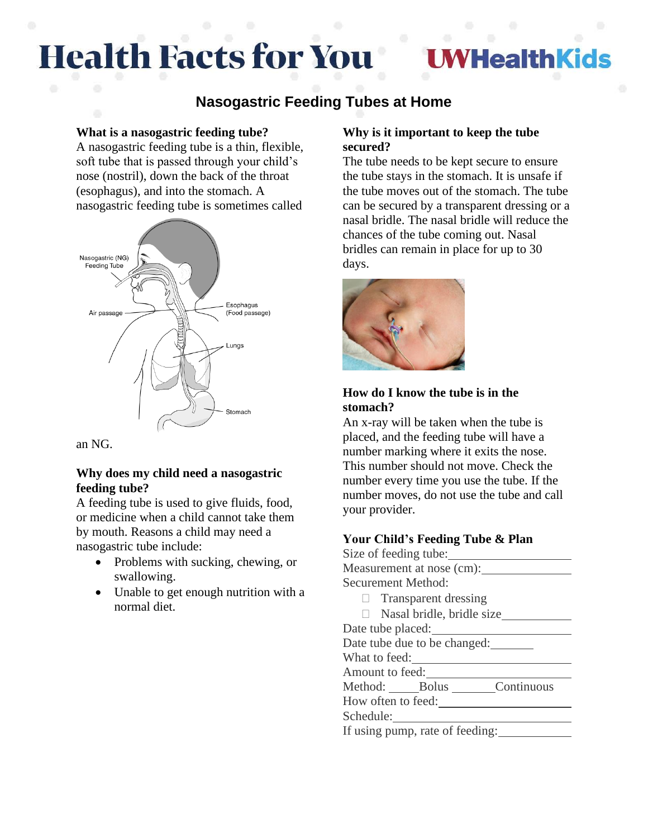# **Health Facts for You**

## **HealthKids**

### **Nasogastric Feeding Tubes at Home**

#### **What is a nasogastric feeding tube?**

A nasogastric feeding tube is a thin, flexible, soft tube that is passed through your child's nose (nostril), down the back of the throat (esophagus), and into the stomach. A nasogastric feeding tube is sometimes called



an NG.

#### **Why does my child need a nasogastric feeding tube?**

A feeding tube is used to give fluids, food, or medicine when a child cannot take them by mouth. Reasons a child may need a nasogastric tube include:

- Problems with sucking, chewing, or swallowing.
- Unable to get enough nutrition with a normal diet.

#### **Why is it important to keep the tube secured?**

The tube needs to be kept secure to ensure the tube stays in the stomach. It is unsafe if the tube moves out of the stomach. The tube can be secured by a transparent dressing or a nasal bridle. The nasal bridle will reduce the chances of the tube coming out. Nasal bridles can remain in place for up to 30 days.



#### **How do I know the tube is in the stomach?**

An x-ray will be taken when the tube is placed, and the feeding tube will have a number marking where it exits the nose. This number should not move. Check the number every time you use the tube. If the number moves, do not use the tube and call your provider.

#### **Your Child's Feeding Tube & Plan**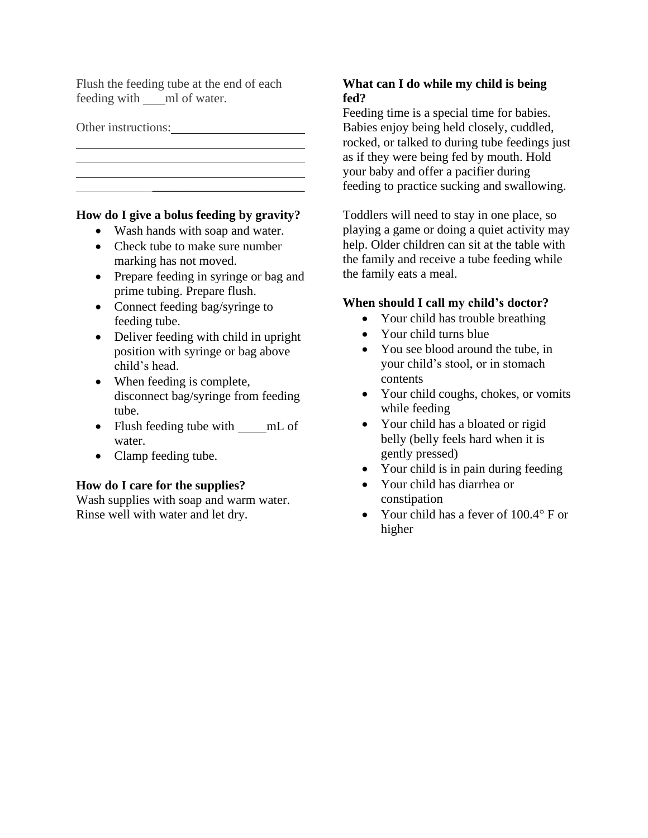Flush the feeding tube at the end of each feeding with ml of water.

Other instructions:

#### **How do I give a bolus feeding by gravity?**

\_\_\_\_\_\_\_\_\_\_\_\_\_\_\_\_\_\_\_\_\_\_\_\_

- Wash hands with soap and water.
- Check tube to make sure number marking has not moved.
- Prepare feeding in syringe or bag and prime tubing. Prepare flush.
- Connect feeding bag/syringe to feeding tube.
- Deliver feeding with child in upright position with syringe or bag above child's head.
- When feeding is complete, disconnect bag/syringe from feeding tube.
- Flush feeding tube with mL of water.
- Clamp feeding tube.

#### **How do I care for the supplies?**

Wash supplies with soap and warm water. Rinse well with water and let dry.

#### **What can I do while my child is being fed?**

Feeding time is a special time for babies. Babies enjoy being held closely, cuddled, rocked, or talked to during tube feedings just as if they were being fed by mouth. Hold your baby and offer a pacifier during feeding to practice sucking and swallowing.

Toddlers will need to stay in one place, so playing a game or doing a quiet activity may help. Older children can sit at the table with the family and receive a tube feeding while the family eats a meal.

#### **When should I call my child's doctor?**

- Your child has trouble breathing
- Your child turns blue
- You see blood around the tube, in your child's stool, or in stomach contents
- Your child coughs, chokes, or vomits while feeding
- Your child has a bloated or rigid belly (belly feels hard when it is gently pressed)
- Your child is in pain during feeding
- Your child has diarrhea or constipation
- Your child has a fever of  $100.4^\circ$  F or higher